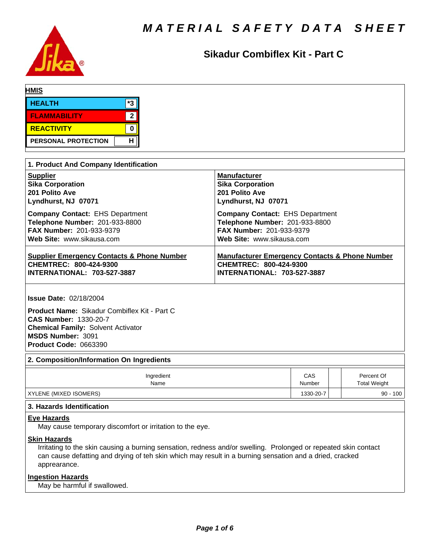

# **Sikadur Combiflex Kit - Part C**

| <b>HMIS</b>         |              |
|---------------------|--------------|
| <b>HEALTH</b>       | *3           |
| <b>FLAMMABILITY</b> | $\mathbf{2}$ |
| <b>REACTIVITY</b>   |              |
| PERSONAL PROTECTION |              |

| 1. Product And Company Identification                 |                                                           |  |  |  |
|-------------------------------------------------------|-----------------------------------------------------------|--|--|--|
| <b>Supplier</b>                                       | <b>Manufacturer</b>                                       |  |  |  |
| <b>Sika Corporation</b>                               | <b>Sika Corporation</b>                                   |  |  |  |
| 201 Polito Ave                                        | 201 Polito Ave                                            |  |  |  |
| Lyndhurst, NJ 07071                                   | Lyndhurst, NJ 07071                                       |  |  |  |
| <b>Company Contact: EHS Department</b>                | <b>Company Contact: EHS Department</b>                    |  |  |  |
| Telephone Number: 201-933-8800                        | Telephone Number: 201-933-8800                            |  |  |  |
| <b>FAX Number: 201-933-9379</b>                       | <b>FAX Number: 201-933-9379</b>                           |  |  |  |
| Web Site: www.sikausa.com                             | Web Site: www.sikausa.com                                 |  |  |  |
| <b>Supplier Emergency Contacts &amp; Phone Number</b> | <b>Manufacturer Emergency Contacts &amp; Phone Number</b> |  |  |  |
| CHEMTREC: 800-424-9300                                | CHEMTREC: 800-424-9300                                    |  |  |  |
| <b>INTERNATIONAL: 703-527-3887</b>                    | <b>INTERNATIONAL: 703-527-3887</b>                        |  |  |  |

**Issue Date:** 02/18/2004

**Product Name: Sikadur Combiflex Kit - Part C CAS Number:** 1330-20-7 **Chemical Family:** Solvent Activator **MSDS Number:** 3091 **Product Code:** 0663390

## **2. Composition/Information On Ingredients**

| Ingredient             | CAS       | Percent Of          |
|------------------------|-----------|---------------------|
| Name                   | Number    | <b>Total Weight</b> |
| XYLENE (MIXED ISOMERS) | 1330-20-7 | $90 - 100$          |

# **3. Hazards Identification**

## **Eye Hazards**

May cause temporary discomfort or irritation to the eye.

### **Skin Hazards**

Irritating to the skin causing a burning sensation, redness and/or swelling. Prolonged or repeated skin contact can cause defatting and drying of teh skin which may result in a burning sensation and a dried, cracked apprearance.

# **Ingestion Hazards**

May be harmful if swallowed.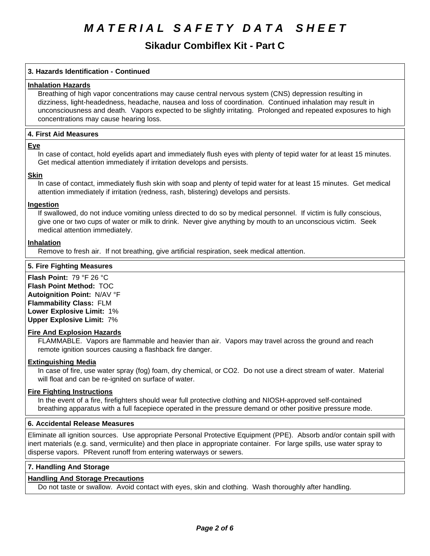# **Sikadur Combiflex Kit - Part C**

### **3. Hazards Identification - Continued**

# **Inhalation Hazards**

Breathing of high vapor concentrations may cause central nervous system (CNS) depression resulting in dizziness, light-headedness, headache, nausea and loss of coordination. Continued inhalation may result in unconsciousness and death. Vapors expected to be slightly irritating. Prolonged and repeated exposures to high concentrations may cause hearing loss.

### **4.First AidMeasures**

### **Eye**

In case of contact, hold eyelids apart and immediately flush eyes with plenty of tepid water for at least 15 minutes. Get medical attention immediately if irritation develops and persists.

### **Skin**

In case of contact, immediately flush skin with soap and plenty of tepid water for at least 15 minutes. Get medical attention immediately if irritation (redness, rash, blistering) develops and persists.

### **Ingestion**

If swallowed, do not induce vomiting unless directed to do so by medical personnel. If victim is fully conscious, give one or two cups of water or milk to drink. Never give anything by mouth to an unconscious victim. Seek medical attention immediately.

### **Inhalation**

Remove to fresh air. If not breathing, give artificial respiration, seek medical attention.

### **5. Fire Fighting Measures**

**Flash Point:** 79°F26°C **Flash Point Method:** TOC **Autoignition Point:** N/AV°F **Flammability Class:** FLM **Lower Explosive Limit:** 1% **Upper Explosive Limit:** 7%

### **Fire And Explosion Hazards**

FLAMMABLE. Vapors are flammable and heavier than air. Vapors may travel across the ground and reach remote ignition sources causing a flashback fire danger.

#### **Extinguishing Media**

In case of fire, use water spray (fog) foam, dry chemical, or CO2. Do not use a direct stream of water. Material will float and can be re-ignited on surface of water.

#### **Fire Fighting Instructions**

In the event of a fire, firefighters should wear full protective clothing and NIOSH-approved self-contained breathing apparatus with a full facepiece operated in the pressure demand or other positive pressure mode.

# **6. Accidental Release Measures**

Eliminate all ignition sources. Use appropriate Personal Protective Equipment (PPE). Absorb and/or contain spill with inert materials (e.g. sand, vermiculite) and then place in appropriate container. For large spills, use water spray to disperse vapors. PRevent runoff from entering waterways or sewers.

# **7. Handling And Storage**

# **Handling And Storage Precautions**

Do not taste or swallow. Avoid contact with eyes, skin and clothing. Wash thoroughly after handling.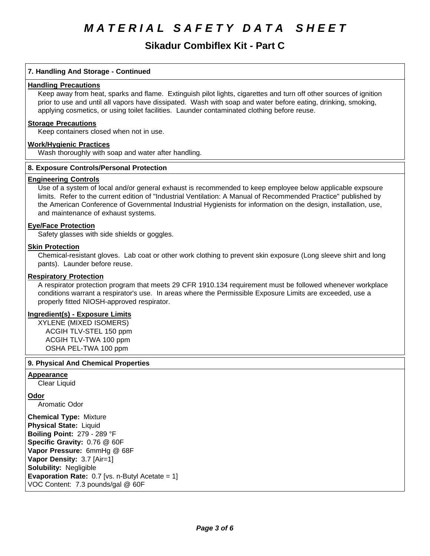# Sikadur Combiflex Kit - Part C

# 7. Handling And Storage - Continued

### **Handling Precautions**

Keep away from heat, sparks and flame. Extinguish pilot lights, cigarettes and turn off other sources of ignition prior to use and until all vapors have dissipated. Wash with soap and water before eating, drinking, smoking, applying cosmetics, or using toilet facilities. Launder contaminated clothing before reuse.

### **Storage Precautions**

Keep containers closed when not in use.

### **Work/Hygienic Practices**

Wash thoroughly with soap and water after handling.

### 8. Exposure Controls/Personal Protection

### **Engineering Controls**

Use of a system of local and/or general exhaust is recommended to keep employee below applicable expsoure limits. Refer to the current edition of "Industrial Ventilation: A Manual of Recommended Practice" published by the American Conference of Governmental Industrial Hygienists for information on the design, installation, use, and maintenance of exhaust systems.

### **Eye/Face Protection**

Safety glasses with side shields or goggles.

### **Skin Protection**

Chemical-resistant gloves. Lab coat or other work clothing to prevent skin exposure (Long sleeve shirt and long pants). Launder before reuse.

### **Respiratory Protection**

A respirator protection program that meets 29 CFR 1910.134 requirement must be followed whenever workplace conditions warrant a respirator's use. In areas where the Permissible Exposure Limits are exceeded, use a properly fitted NIOSH-approved respirator.

## **Ingredient(s) - Exposure Limits**

**XYLENE (MIXED ISOMERS)** ACGIH TLV-STEL 150 ppm ACGIH TLV-TWA 100 ppm OSHA PEL-TWA 100 ppm

### 9. Physical And Chemical Properties

#### Appearance

Clear Liquid

### Odor

Aromatic Odor

**Chemical Type: Mixture Physical State: Liquid Boiling Point: 279 - 289 °F** Specific Gravity: 0.76 @ 60F Vapor Pressure: 6mmHg @ 68F Vapor Density: 3.7 [Air=1] Solubility: Negligible **Evaporation Rate:** 0.7 [vs. n-Butyl Acetate = 1] VOC Content: 7.3 pounds/gal @ 60F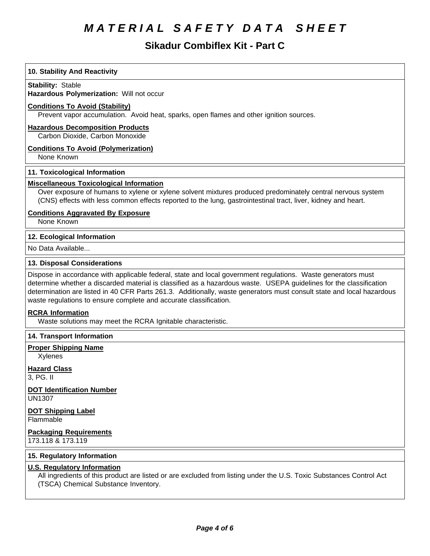# **Sikadur Combiflex Kit - Part C**

## **10. Stability And Reactivity**

### **Stability: Stable**

**Hazardous Polymerization: Will not occur** 

### **Conditions To Avoid (Stability)**

Prevent vapor accumulation. Avoid heat, sparks, open flames and other ignition sources.

#### **Hazardous Decomposition Products**

Carbon Dioxide, Carbon Monoxide

### **Conditions To Avoid (Polymerization)**

None Known

### **11. Toxicological Information**

### **Miscellaneous Toxicological Information**

Over exposure of humans to xylene or xylene solvent mixtures produced predominately central nervous system (CNS) effects with less common effects reported to the lung, gastrointestinal tract, liver, kidney and heart.

### **Conditions Aggravated By Exposure**

None Known

### **12. Ecological Information**

No Data Available...

### **13. Disposal Considerations**

Dispose in accordance with applicable federal, state and local government regulations. Waste generators must determine whether a discarded material is classified as a hazardous waste. USEPA guidelines for the classification determination are listed in 40 CFR Parts 261.3. Additionally, waste generators must consult state and local hazardous waste regulations to ensure complete and accurate classification.

### **RCRA Information**

Waste solutions may meet the RCRA Ignitable characteristic.

### **14. Transport Information**

### **Proper Shipping Name**

Xylenes

**Hazard Class** 3,PG.II

**DOT Identification Number** UN1307

**DOT Shipping Label** Flammable

**Packaging Requirements** 173.118 & 173.119

### **15. Regulatory Information**

### **U.S. Regulatory Information**

All ingredients of this product are listed or are excluded from listing under the U.S. Toxic Substances Control Act (TSCA) Chemical Substance Inventory.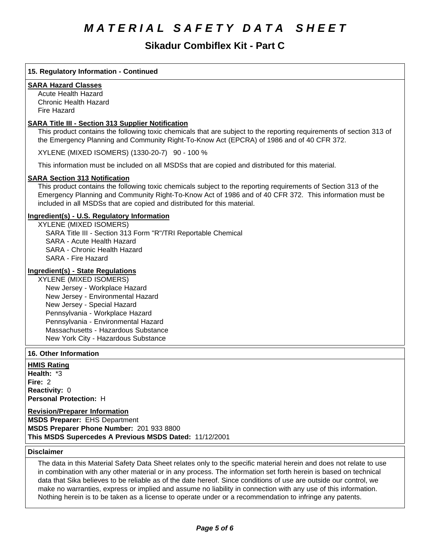# **Sikadur Combiflex Kit - Part C**

# **15. Regulatory Information - Continued**

### **SARA Hazard Classes**

Acute Health Hazard Chronic Health Hazard Fire Hazard

### **SARA Title III - Section 313 Supplier Notification**

This product contains the following toxic chemicals that are subject to the reporting requirements of section 313 of the Emergency Planning and Community Right-To-Know Act (EPCRA) of 1986 and of 40 CFR 372.

XYLENE(MIXEDISOMERS)(1330-20-7) 90-100%

This information must be included on all MSDSs that are copied and distributed for this material.

### **SARA Section 313 Notification**

This product contains the following toxic chemicals subject to the reporting requirements of Section 313 of the Emergency Planning and Community Right-To-Know Act of 1986 and of 40 CFR 372. This information must be included in all MSDSs that are copied and distributed for this material.

### **Ingredient(s) - U.S. Regulatory Information**

XYLENE (MIXEDISOMERS) SARA Title III - Section 313 Form "R"/TRI Reportable Chemical SARA - Acute Health Hazard SARA - Chronic Health Hazard SARA - Fire Hazard

# **Ingredient(s) - State Regulations**

XYLENE (MIXEDISOMERS) New Jersey - Workplace Hazard New Jersey - Environmental Hazard New Jersey - Special Hazard Pennsylvania - Workplace Hazard Pennsylvania - Environmental Hazard Massachusetts - Hazardous Substance New York City - Hazardous Substance

### **16. Other Information**

### **HMIS Rating**

**Health: \*3 Fire: 2 Reactivity: 0 Personal Protection:** H

**Revision/Preparer Information MSDS Preparer:** EHS Department **MSDS Preparer Phone Number:** 201 933 8800 This MSDS Supercedes A Previous MSDS Dated: 11/12/2001

### **Disclaimer**

The data in this Material Safety Data Sheet relates only to the specific material herein and does not relate to use in combination with any other material or in any process. The information set forth herein is based on technical data that Sika believes to be reliable as of the date hereof. Since conditions of use are outside our control, we make no warranties, express or implied and assume no liability in connection with any use of this information. Nothing herein is to be taken as a license to operate under or a recommendation to infringe any patents.